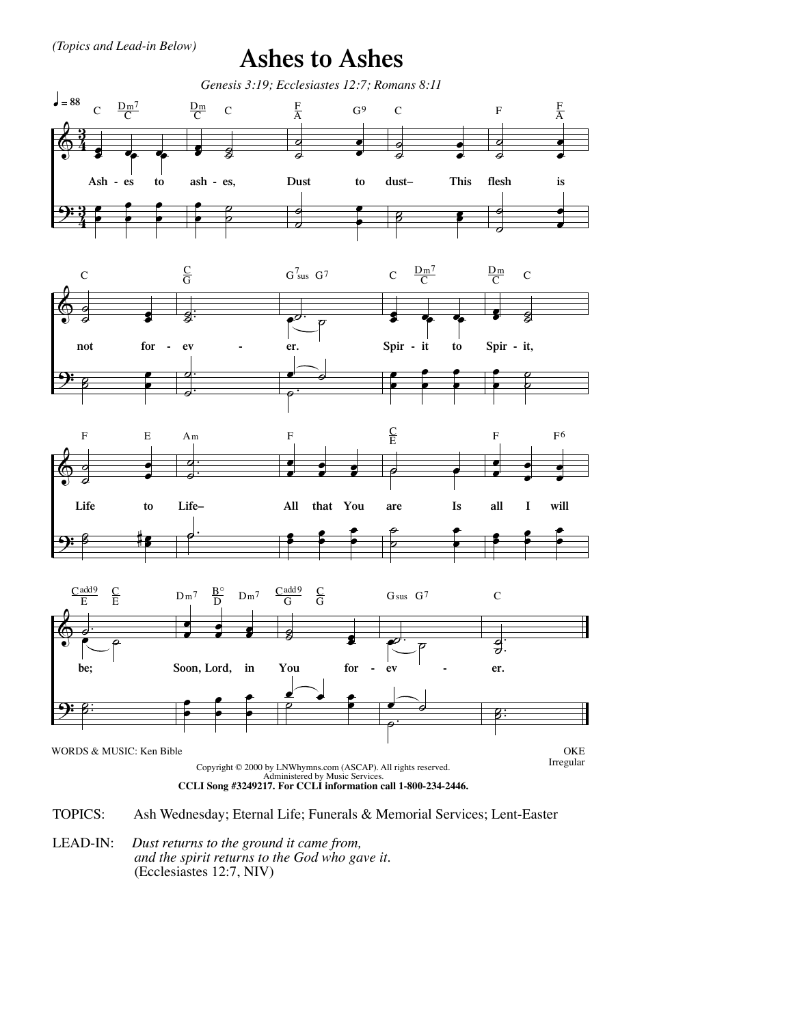(Topics and Lead-in Below)

**Ashes to Ashes** 



**TOPICS:** Ash Wednesday; Eternal Life; Funerals & Memorial Services; Lent-Easter

LEAD-IN: Dust returns to the ground it came from, and the spirit returns to the God who gave it. (Ecclesiastes 12:7, NIV)